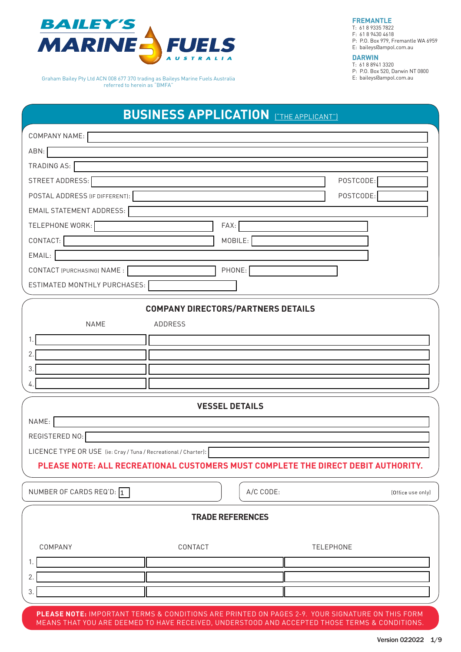

Graham Bailey Pty Ltd ACN 008 677 370 trading as Baileys Marine Fuels Australia referred to herein as "BMFA"

## **FREMANTLE**

T: 61 8 9335 7822 F: 61 8 9430 4618

P: P.O. Box 979, Fremantle WA 6959 E: baileys@ampol.com.au

## **DARWIN**

T: 61 8 8941 3320

P: P.O. Box 520, Darwin NT 0800

E: baileys@ampol.com.au

# **BUSINESS APPLICATION** *[THE APPLICANT"]*

| ABN:                                      |           |  |
|-------------------------------------------|-----------|--|
| <b>TRADING AS:</b>                        |           |  |
| STREET ADDRESS:                           | POSTCODE: |  |
| POSTAL ADDRESS (IF DIFFERENT):            | POSTCODE: |  |
| <b>EMAIL STATEMENT ADDRESS:</b>           |           |  |
| TELEPHONE WORK:                           | FAX:      |  |
| CONTACT:                                  | MOBILE:   |  |
| EMAIL:                                    |           |  |
| <b>CONTACT (PURCHASING) NAME:</b>         | PHONE:    |  |
| ESTIMATED MONTHLY PURCHASES:              |           |  |
| <b>COMPANY DIRECTORS/PARTNERS DETAILS</b> |           |  |

| NAME                                   | ADDRESS |
|----------------------------------------|---------|
|                                        |         |
| $\sqrt{2}$<br>$\overline{\phantom{a}}$ |         |
| ◠<br>ు                                 |         |
| 4.                                     |         |

| <b>VESSEL DETAILS</b>                                                             |  |  |
|-----------------------------------------------------------------------------------|--|--|
| NAME:                                                                             |  |  |
| REGISTERED NO:                                                                    |  |  |
| LICENCE TYPE OR USE (ie: Cray / Tuna / Recreational / Charter):                   |  |  |
| PLEASE NOTE: ALL RECREATIONAL CUSTOMERS MUST COMPLETE THE DIRECT DEBIT AUTHORITY. |  |  |

NUMBER OF CARDS REQ'D: A/C CODE: use only) 1

COMPANY NAME:

| <b>TRADE REFERENCES</b> |         |                                                                                                 |  |
|-------------------------|---------|-------------------------------------------------------------------------------------------------|--|
| COMPANY                 | CONTACT | TELEPHONE                                                                                       |  |
|                         |         |                                                                                                 |  |
| ↷                       |         |                                                                                                 |  |
| 3.                      |         |                                                                                                 |  |
|                         |         | PLEASE NOTE: IMPORTANT TERMS & CONDITIONS ARE PRINTED ON PAGES 2-9. YOUR SIGNATURE ON THIS FORM |  |

MEANS THAT YOU ARE DEEMED TO HAVE RECEIVED, UNDERSTOOD AND ACCEPTED THOSE TERMS & CONDITIONS.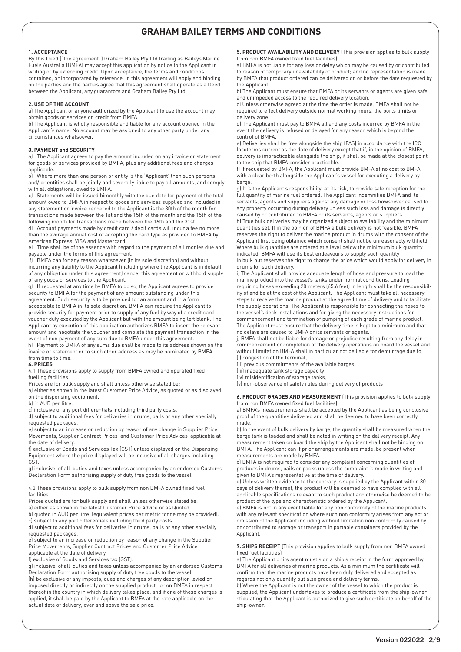## **1. ACCEPTANCE**

By this Deed ("the agreement") Graham Bailey Pty Ltd trading as Baileys Marine Fuels Australia (BMFA) may accept this application by notice to the Applicant in writing or by extending credit. Upon acceptance, the terms and conditions contained, or incorporated by reference, in this agreement will apply and binding on the parties and the parties agree that this agreement shall operate as a Deed between the Applicant, any guarantors and Graham Bailey Pty Ltd.

## **2. USE OF THE ACCOUNT**

a) The Applicant or anyone authorized by the Applicant to use the account may obtain goods or services on credit from BMFA.

b) The Applicant is wholly responsible and liable for any account opened in the Applicant's name. No account may be assigned to any other party under any circumstances whatsoever.

## **3. PAYMENT and SECURITY**

a) The Applicant agrees to pay the amount included on any invoice or statement for goods or services provided by BMFA, plus any additional fees and charges applicable.

b) Where more than one person or entity is the 'Applicant' then such persons and/ or entities shall be jointly and severally liable to pay all amounts, and comply with all obligations, owed to BMFA.

c) Statements will be issued bimonthly with the due date for payment of the total amount owed to BMFA in respect to goods and services supplied and included in any statement or invoice rendered to the Applicant is the 30th of the month for transactions made between the 1st and the 15th of the month and the 15th of the following month for transactions made between the 16th and the 31st.

d) Account payments made by credit card / debit cards will incur a fee no more than the average annual cost of accepting the card type as provided to BMFA by American Express, VISA and Mastercard.

e) Time shall be of the essence with regard to the payment of all monies due and payable under the terms of this agreement.

f) BMFA can for any reason whatsoever (in its sole discretion) and without incurring any liability to the Applicant (including where the Applicant is in default of any obligation under this agreement) cancel this agreement or withhold supply of any goods or services to the Applicant.

g) If requested at any time by BMFA to do so, the Applicant agrees to provide security to BMFA for the payment of any amount outstanding under this agreement. Such security is to be provided for an amount and in a form acceptable to BMFA in its sole discretion. BMFA can require the Applicant to provide security for payment prior to supply of any fuel by way of a credit card voucher duly executed by the Applicant but with the amount being left blank. The Applicant by execution of this application authorizes BMFA to insert the relevant amount and negotiate the voucher and complete the payment transaction in the event of non payment of any sum due to BMFA under this agreement.

h) Payment to BMFA of any sums due shall be made to its address shown on the invoice or statement or to such other address as may be nominated by BMFA from time to time.

## **4. PRICES**

4.1 These provisions apply to supply from BMFA owned and operated fixed fuelling facilities.

Prices are for bulk supply and shall unless otherwise stated be;

a) either as shown in the latest Customer Price Advice, as quoted or as displayed on the dispensing equipment.

b) in AUD per litre.

c) inclusive of any port differentials including third party costs.

d) subject to additional fees for deliveries in drums, pails or any other specially requested packages.

e) subject to an increase or reduction by reason of any change in Supplier Price Movements, Supplier Contract Prices and Customer Price Advices applicable at the date of delivery.

f) exclusive of Goods and Services Tax (GST) unless displayed on the Dispensing Equipment where the price displayed will be inclusive of all charges including GST.

g) inclusive of all duties and taxes unless accompanied by an endorsed Customs Declaration Form authorising supply of duty free goods to the vessel.

4.2 These provisions apply to bulk supply from non BMFA owned fixed fuel

facilities Prices quoted are for bulk supply and shall unless otherwise stated be;

a) either as shown in the latest Customer Price Advice or as Quoted.

b) quoted in AUD per litre (equivalent prices per metric tonne may be provided). c) subject to any port differentials including third party costs.

d) subject to additional fees for deliveries in drums, pails or any other specially requested packages.

e) subject to an increase or reduction by reason of any change in the Supplier Price Movements, Supplier Contract Prices and Customer Price Advice applicable at the date of delivery.

f) exclusive of Goods and Services tax (GST).

g) inclusive of all duties and taxes unless accompanied by an endorsed Customs Declaration Form authorising supply of duty free goods to the vessel. (h) be exclusive of any imposts, dues and charges of any description levied or imposed directly or indirectly on the supplied product or on BMFA in respect thereof in the country in which delivery takes place, and if one of these charges is applied, it shall be paid by the Applicant to BMFA at the rate applicable on the actual date of delivery, over and above the said price.

**5. PRODUCT AVAILABILITY AND DELIVERY** (This provision applies to bulk supply from non BMFA owned fixed fuel facilities)

a) BMFA is not liable for any loss or delay which may be caused by or contributed to reason of temporary unavailability of product; and no representation is made by BMFA that product ordered can be delivered on or before the date requested by the Applicant.

b) The Applicant must ensure that BMFA or its servants or agents are given safe and unimpeded access to the required delivery location.

c) Unless otherwise agreed at the time the order is made, BMFA shall not be required to effect delivery outside normal working hours, the ports limits or delivery zone.

d) The Applicant must pay to BMFA all and any costs incurred by BMFA in the event the delivery is refused or delayed for any reason which is beyond the control of BMFA.

e) Deliveries shall be free alongside the ship (FAS) in accordance with the ICC Incoterms current as the date of delivery except that if, in the opinion of BMFA, delivery is impracticable alongside the ship, it shall be made at the closest point to the ship that BMFA consider practicable.

f) If requested by BMFA, the Applicant must provide BMFA at no cost to BMFA, with a clear berth alongside the Applicant's vessel for executing a delivery by barge.

g) It is the Applicant's responsibility, at its risk, to provide safe reception for the full quantity of marine fuel ordered. The Applicant indemnifies BMFA and its servants, agents and suppliers against any damage or loss howsoever caused to any property occurring during delivery unless such loss and damage is directly caused by or contributed to BMFA or its servants, agents or suppliers.

h) True bulk deliveries may be organized subject to availability and the minimum quantities set. If in the opinion of BMFA a bulk delivery is not feasible, BMFA reserves the right to deliver the marine product in drums with the consent of the Applicant first being obtained which consent shall not be unreasonably withheld. Where bulk quantities are ordered at a level below the minimum bulk quantity indicated, BMFA will use its best endeavours to supply such quantity

in bulk but reserves the right to charge the price which would apply for delivery in drums for such delivery.

i) The Applicant shall provide adequate length of hose and pressure to load the marine product into the vessel's tanks under normal conditions. Loading requiring hoses exceeding 20 meters (65.6 feet) in length shall be the responsibility of and be at the cost of the Applicant. The Applicant must take all necessary steps to receive the marine product at the agreed time of delivery and to facilitate the supply operations. The Applicant is responsible for connecting the hoses to the vessel's deck installations and for giving the necessary instructions for commencement and termination of pumping of each grade of marine product. The Applicant must ensure that the delivery time is kept to a minimum and that

no delays are caused to BMFA or its servants or agents. j) BMFA shall not be liable for damage or prejudice resulting from any delay in commencement or completion of the delivery operations on board the vessel and without limitation BMFA shall in particular not be liable for demurrage due to; (i) congestion of the terminal,

(ii) previous commitments of the available barges,

(iii) inadequate tank storage capacity,

(iv) misidentification of storage tanks,

(v) non-observance of safety rules during delivery of products

**6. PRODUCT GRADES AND MEASUREMENT** (This provision applies to bulk supply from non BMFA owned fixed fuel facilities)

a) BMFA's measurements shall be accepted by the Applicant as being conclusive proof of the quantities delivered and shall be deemed to have been correctly made.

b) In the event of bulk delivery by barge, the quantity shall be measured when the barge tank is loaded and shall be noted in writing on the delivery receipt. Any measurement taken on board the ship by the Applicant shall not be binding on BMFA. The Applicant can if prior arrangements are made, be present when measurements are made by BMFA.

c) BMFA is not required to consider any complaint concerning quantities of products in drums, pails or packs unless the complaint is made in writing and given to BMFA's representative at the time of delivery.

d) Unless written evidence to the contrary is supplied by the Applicant within 30 days of delivery thereof, the product will be deemed to have complied with all applicable specifications relevant to such product and otherwise be deemed to be product of the type and characteristic ordered by the Applicant.

e) BMFA is not in any event liable for any non conformity of the marine products with any relevant specification where such non conformity arises from any act or omission of the Applicant including without limitation non conformity caused by or contributed to storage or transport in portable containers provided by the Applicant.

**7. SHIPS RECEIPT** (This provision applies to bulk supply from non BMFA owned fixed fuel facilities)

a) The Applicant or its agent must sign a ship's receipt in the form approved by BMFA for all deliveries of marine products. As a minimum the certificate will confirm that the marine products have been duly delivered and accepted as regards not only quantity but also grade and delivery terms.

b) Where the Applicant is not the owner of the vessel to which the product is supplied, the Applicant undertakes to produce a certificate from the ship-owner stipulating that the Applicant is authorized to give such certificate on behalf of the ship-owner.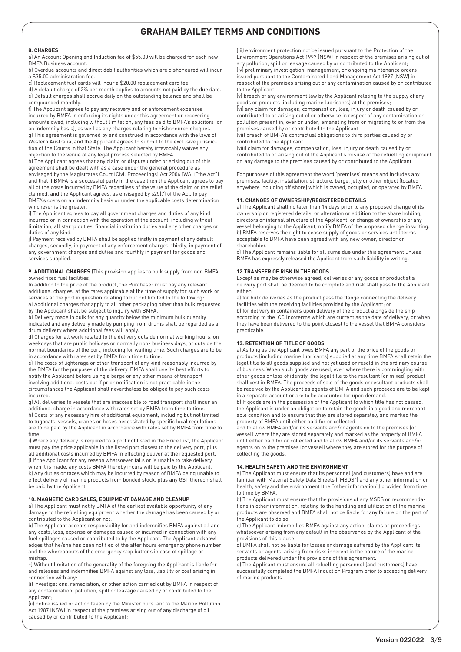## **8. CHARGES**

a) An Account Opening and Induction fee of \$55.00 will be charged for each new BMFA Business account.

b) Overdue accounts and direct debit authorities which are dishonoured will incur a \$35.00 administration fee.

c) Replacement fuel cards will incur a \$20.00 replacement card fee.

d) A default charge of 2% per month applies to amounts not paid by the due date. e) Default charges shall accrue daily on the outstanding balance and shall be compounded monthly.

f) The Applicant agrees to pay any recovery and or enforcement expenses incurred by BMFA in enforcing its rights under this agreement or recovering amounts owed, including without limitation, any fees paid to BMFA's solicitors (on an indemnity basis), as well as any charges relating to dishonoured cheques. g) This agreement is governed by and construed in accordance with the laws of Western Australia, and the Applicant agrees to submit to the exclusive jurisdiction of the Courts in that State. The Applicant hereby irrevocably waives any objection to the venue of any legal process selected by BMFA.

h) The Applicant agrees that any claim or dispute under or arising out of this agreement shall be dealt with as a case under the general procedure as envisaged by the Magistrates Court (Civil Proceedings) Act 2004 (WA) ("the Act") and that if BMFA is a successful party in the case then the Applicant agrees to pay all of the costs incurred by BMFA regardless of the value of the claim or the relief claimed, and the Applicant agrees, as envisaged by s25(7) of the Act, to pay BMFA's costs on an indemnity basis or under the applicable costs determination whichever is the greater.

i) The Applicant agrees to pay all government charges and duties of any kind incurred or in connection with the operation of the account, including without limitation, all stamp duties, financial institution duties and any other charges or duties of any kind.

j) Payment received by BMFA shall be applied firstly in payment of any default charges, secondly, in payment of any enforcement charges, thirdly, in payment of any government charges and duties and fourthly in payment for goods and services supplied.

## **9. ADDITIONAL CHARGES** (This provision applies to bulk supply from non BMFA owned fixed fuel facilities)

In addition to the price of the product, the Purchaser must pay any relevant additional charges, at the rates applicable at the time of supply for such work or services at the port in question relating to but not limited to the following: a) Additional charges that apply to all other packaging other than bulk requested by the Applicant shall be subject to inquiry with BMFA.

b) Delivery made in bulk for any quantity below the minimum bulk quantity indicated and any delivery made by pumping from drums shall be regarded as a drum delivery where additional fees will apply.

d) Charges for all work related to the delivery outside normal working hours, on weekdays that are public holidays or normally non- business days, or outside the normal boundaries of the port, including for waiting time. Such charges are to be in accordance with rates set by BMFA from time to time.

e) The costs of lighterage or other transport of any kind reasonably incurred by the BMFA for the purposes of the delivery. BMFA shall use its best efforts to notify the Applicant before using a barge or any other means of transport involving additional costs but if prior notification is not practicable in the circumstances the Applicant shall nevertheless be obliged to pay such costs incurred.

g) All deliveries to vessels that are inaccessible to road transport shall incur an additional charge in accordance with rates set by BMFA from time to time. h) Costs of any necessary hire of additional equipment, including but not limited to tugboats, vessels, cranes or hoses necessitated by specific local regulations are to be paid by the Applicant in accordance with rates set by BMFA from time to time.

i) Where any delivery is required to a port not listed in the Price List, the Applicant must pay the price applicable in the listed port closest to the delivery port, plus all additional costs incurred by BMFA in effecting deliver at the requested port. j) If the Applicant for any reason whatsoever fails or is unable to take delivery when it is made, any costs BMFA thereby incurs will be paid by the Applicant. k) Any duties or taxes which may be incurred by reason of BMFA being unable to effect delivery of marine products from bonded stock, plus any GST thereon shall be paid by the Applicant.

## **10. MAGNETIC CARD SALES, EQUIPMENT DAMAGE AND CLEANUP**

a) The Applicant must notify BMFA at the earliest available opportunity of any damage to the refuelling equipment whether the damage has been caused by or contributed to the Applicant or not.

b) The Applicant accepts responsibility for and indemnifies BMFA against all and any costs, loss, expense or damages caused or incurred in connection with any fuel spillages caused or contributed to by the Applicant. The Applicant acknowledges that he/she has been notified of the after hours emergency phone number and the whereabouts of the emergency stop buttons in case of spillage or mishap.

c) Without limitation of the generality of the foregoing the Applicant is liable for and releases and indemnifies BMFA against any loss, liability or cost arising in connection with any:

(i) investigations, remediation, or other action carried out by BMFA in respect of any contamination, pollution, spill or leakage caused by or contributed to the Applicant;

(ii) notice issued or action taken by the Minister pursuant to the Marine Pollution Act 1987 (NSW) in respect of the premises arising out of any discharge of oil caused by or contributed to the Applicant;

(iii) environment protection notice issued pursuant to the Protection of the Environment Operations Act 1997 (NSW) in respect of the premises arising out of any pollution, spill or leakage caused by or contributed to the Applicant; (iv) preliminary investigation, management, or ongoing maintenance orders issued pursuant to the Contaminated Land Management Act 1997 (NSW) in respect of the premises arising out of any contamination caused by or contributed to the Applicant;

(v) breach of any environment law by the Applicant relating to the supply of any goods or products (including marine lubricants) at the premises; (vi) any claim for damages, compensation, loss, injury or death caused by or

contributed to or arising out of or otherwise in respect of any contamination or pollution present in, over or under, emanating from or migrating to or from the premises caused by or contributed to the Applicant.

(vii) breach of BMFA's contractual obligations to third parties caused by or contributed to the Applicant.

(viii) claim for damages, compensation, loss, injury or death caused by or contributed to or arising out of the Applicant's misuse of the refuelling equipment or any damage to the premises caused by or contributed to the Applicant

For purposes of this agreement the word 'premises' means and includes any premises, facility, installation, structure, barge, jetty or other object (located anywhere including off shore) which is owned, occupied, or operated by BMFA

## **11. CHANGES OF OWNERSHIP/REGISTERED DETAILS**

a) The Applicant shall no later than 14 days prior to any proposed change of its ownership or registered details, or alteration or addition to the share holding, directors or internal structure of the Applicant, or change of ownership of any vessel belonging to the Applicant, notify BMFA of the proposed change in writing. b) BMFA reserves the right to cease supply of goods or services until terms acceptable to BMFA have been agreed with any new owner, director or shareholder.

c) The Applicant remains liable for all sums due under this agreement unless BMFA has expressly released the Applicant from such liability in writing.

## **12.TRANSFER OF RISK IN THE GOODS**

Except as may be otherwise agreed, deliveries of any goods or product at a delivery port shall be deemed to be complete and risk shall pass to the Applicant either:

a) for bulk deliveries as the product pass the flange connecting the delivery facilities with the receiving facilities provided by the Applicant; or b) for delivery in containers upon delivery of the product alongside the ship according to the ICC Incoterms which are current as the date of delivery, or when they have been delivered to the point closest to the vessel that BMFA considers practicable.

## **13. RETENTION OF TITLE OF GOODS**

a) As long as the Applicant owes BMFA any part of the price of the goods or products (including marine lubricants) supplied at any time BMFA shall retain the legal title to all goods supplied and not yet used or resold in the ordinary course of business. When such goods are used, even where there is commingling with other goods or loss of identity, the legal title to the resultant (or mixed) product shall vest in BMFA. The proceeds of sale of the goods or resultant products shall be received by the Applicant as agents of BMFA and such proceeds are to be kept in a separate account or are to be accounted for upon demand.

b) If goods are in the possession of the Applicant to which title has not passed, the Applicant is under an obligation to retain the goods in a good and merchantable condition and to ensure that they are stored separately and marked the property of BMFA until either paid for or collected

and to allow BMFA and/or its servants and/or agents on to the premises (or vessel) where they are stored separately and marked as the property of BMFA until either paid for or collected and to allow BMFA and/or its servants and/or agents on to the premises (or vessel) where they are stored for the purpose of collecting the goods.

## **14. HEALTH SAFETY AND THE ENVIRONMENT**

a) The Applicant must ensure that its personnel (and customers) have and are familiar with Material Safety Data Sheets ("MSDS") and any other information on health, safety and the environment (the "other information") provided from time to time by BMFA.

b) The Applicant must ensure that the provisions of any MSDS or recommendations in other information, relating to the handling and utilization of the marine products are observed and BMFA shall not be liable for any failure on the part of the Applicant to do so.

c) The Applicant indemnifies BMFA against any action, claims or proceedings whatsoever arising from any default in the observance by the Applicant of the provisions of this clause.

d) BMFA shall not be liable for losses or damage suffered by the Applicant its servants or agents, arising from risks inherent in the nature of the marine products delivered under the provisions of this agreement.

e) The Applicant must ensure all refuelling personnel (and customers) have successfully completed the BMFA Induction Program prior to accepting delivery of marine products.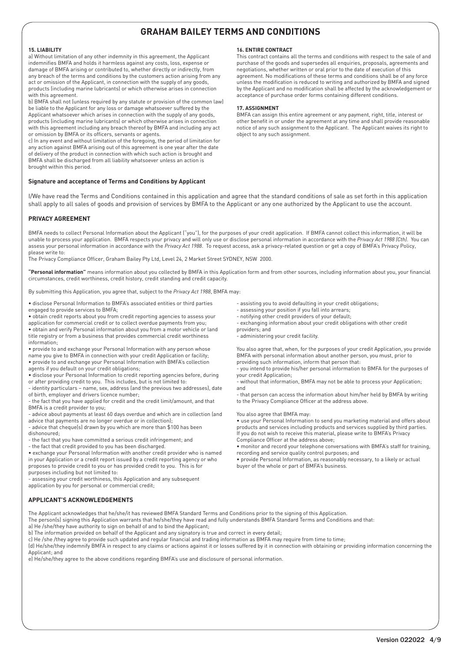## **15. LIABILITY**

a) Without limitation of any other indemnity in this agreement, the Applicant indemnifies BMFA and holds it harmless against any costs, loss, expense or damage of BMFA arising or contributed to, whether directly or indirectly, from any breach of the terms and conditions by the customers action arising from any act or omission of the Applicant, in connection with the supply of any goods, products (including marine lubricants) or which otherwise arises in connection with this agreement.

b) BMFA shall not (unless required by any statute or provision of the common law) be liable to the Applicant for any loss or damage whatsoever suffered by the Applicant whatsoever which arises in connection with the supply of any goods, products (including marine lubricants) or which otherwise arises in connection with this agreement including any breach thereof by BMFA and including any act or omission by BMFA or its officers, servants or agents.

c) In any event and without limitation of the foregoing, the period of limitation for any action against BMFA arising out of this agreement is one year after the date of delivery of the product in connection with which such action is brought and BMFA shall be discharged from all liability whatsoever unless an action is brought within this period.

## **Signature and acceptance of Terms and Conditions by Applicant**

## **16. ENTIRE CONTRACT**

This contract contains all the terms and conditions with respect to the sale of and purchase of the goods and supersedes all enquiries, proposals, agreements and negotiations, whether written or oral prior to the date of execution of this agreement. No modifications of these terms and conditions shall be of any force unless the modification is reduced to writing and authorized by BMFA and signed by the Applicant and no modification shall be affected by the acknowledgement or acceptance of purchase order forms containing different conditions.

## **17. ASSIGNMENT**

BMFA can assign this entire agreement or any payment, right, title, interest or other benefit in or under the agreement at any time and shall provide reasonable notice of any such assignment to the Applicant. The Applicant waives its right to object to any such assignment.

I/We have read the Terms and Conditions contained in this application and agree that the standard conditions of sale as set forth in this application shall apply to all sales of goods and provision of services by BMFA to the Applicant or any one authorized by the Applicant to use the account.

## **PRIVACY AGREEMENT**

BMFA needs to collect Personal Information about the Applicant ("you"), for the purposes of your credit application. If BMFA cannot collect this information, it will be unable to process your application. BMFA respects your privacy and will only use or disclose personal information in accordance with the *Privacy Act 1988 (Cth)*. You can assess your personal information in accordance with the *Privacy Act 1988*. To request access, ask a privacy-related question or get a copy of BMFA's Privacy Policy, please write to:

The Privacy Compliance Officer, Graham Bailey Pty Ltd, Level 24, 2 Market Street SYDNEY, NSW 2000.

**"Personal information"** means information about you collected by BMFA in this Application form and from other sources, including information about you, your financial circumstances, credit worthiness, credit history, credit standing and credit capacity.

By submitting this Application, you agree that, subject to the *Privacy Act 1988*, BMFA may:

- disclose Personal Information to BMFA's associated entities or third parties engaged to provide services to BMFA;
- obtain credit reports about you from credit reporting agencies to assess your
- application for commercial credit or to collect overdue payments from you;
- obtain and verify Personal information about you from a motor vehicle or land title registry or from a business that provides commercial credit worthiness information;
- provide to and exchange your Personal Information with any person whose
- name you give to BMFA in connection with your credit Application or facility; • provide to and exchange your Personal Information with BMFA's collection
- agents if you default on your credit obligations;
- disclose your Personal Information to credit reporting agencies before, during or after providing credit to you. This includes, but is not limited to:
- identity particulars name, sex, address (and the previous two addresses), date of birth, employer and drivers licence number;
- the fact that you have applied for credit and the credit limit/amount, and that BMFA is a credit provider to you;
- advice about payments at least 60 days overdue and which are in collection (and advice that payments are no longer overdue or in collection);
- advice that cheque(s) drawn by you which are more than \$100 has been
- dishonoured;
- the fact that you have committed a serious credit infringement; and
- the fact that credit provided to you has been discharged.

• exchange your Personal Information with another credit provider who is named in your Application or a credit report issued by a credit reporting agency or who proposes to provide credit to you or has provided credit to you. This is for purposes including but not limited to:

- assessing your credit worthiness, this Application and any subsequent
- application by you for personal or commercial credit;

## **APPLICANT'S ACKNOWLEDGEMENTS**

The Applicant acknowledges that he/she/it has reviewed BMFA Standard Terms and Conditions prior to the signing of this Application.

The person(s) signing this Application warrants that he/she/they have read and fully understands BMFA Standard Terms and Conditions and that: a) He /she/they have authority to sign on behalf of and to bind the Applicant;

b) The information provided on behalf of the Applicant and any signatory is true and correct in every detail;

c) He /she /they agree to provide such updated and regular financial and trading information as BMFA may require from time to time;

(d) He/she/they indemnify BMFA in respect to any claims or actions against it or losses suffered by it in connection with obtaining or providing information concerning the Applicant; and

e) He/she/they agree to the above conditions regarding BMFA's use and disclosure of personal information.

- assisting you to avoid defaulting in your credit obligations;
- assessing your position if you fall into arrears;
- notifying other credit providers of your default;
- exchanging information about your credit obligations with other credit
- providers; and - administering your credit facility.

You also agree that, when, for the purposes of your credit Application, you provide BMFA with personal information about another person, you must, prior to providing such information, inform that person that:

- you intend to provide his/her personal information to BMFA for the purposes of your credit Application;

- without that information, BMFA may not be able to process your Application; and

- that person can access the information about him/her held by BMFA by writing to the Privacy Compliance Officer at the address above.

## You also agree that BMFA may:

• use your Personal Information to send you marketing material and offers about products and services including products and services supplied by third parties. If you do not wish to receive this material, please write to BMFA's Privacy Compliance Officer at the address above;

• monitor and record your telephone conversations with BMFA's staff for training, recording and service quality control purposes; and

• provide Personal Information, as reasonably necessary, to a likely or actual buyer of the whole or part of BMFA's business.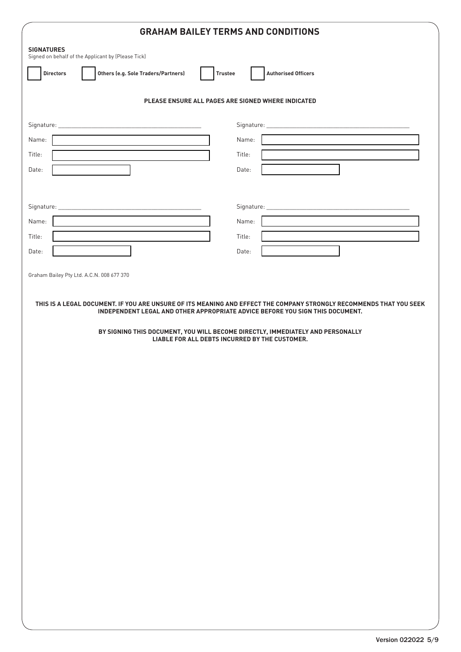| <b>GRAHAM BAILEY TERMS AND CONDITIONS</b>                               |                                     |                                                                                                                                                                                                      |  |
|-------------------------------------------------------------------------|-------------------------------------|------------------------------------------------------------------------------------------------------------------------------------------------------------------------------------------------------|--|
| <b>SIGNATURES</b><br>Signed on behalf of the Applicant by (Please Tick) |                                     |                                                                                                                                                                                                      |  |
| <b>Directors</b>                                                        | Others (e.g. Sole Traders/Partners) | <b>Authorised Officers</b><br>Trustee                                                                                                                                                                |  |
|                                                                         |                                     | PLEASE ENSURE ALL PAGES ARE SIGNED WHERE INDICATED                                                                                                                                                   |  |
|                                                                         |                                     |                                                                                                                                                                                                      |  |
|                                                                         |                                     |                                                                                                                                                                                                      |  |
| Name:                                                                   |                                     | Name:                                                                                                                                                                                                |  |
| Title:<br>Date:                                                         |                                     | Title:<br>Date:                                                                                                                                                                                      |  |
|                                                                         |                                     |                                                                                                                                                                                                      |  |
|                                                                         |                                     |                                                                                                                                                                                                      |  |
| Name:                                                                   |                                     | Name:                                                                                                                                                                                                |  |
| Title:                                                                  |                                     | Title:                                                                                                                                                                                               |  |
| Date:                                                                   |                                     | Date:                                                                                                                                                                                                |  |
| Graham Bailey Pty Ltd. A.C.N. 008 677 370                               |                                     |                                                                                                                                                                                                      |  |
|                                                                         |                                     |                                                                                                                                                                                                      |  |
|                                                                         |                                     | THIS IS A LEGAL DOCUMENT. IF YOU ARE UNSURE OF ITS MEANING AND EFFECT THE COMPANY STRONGLY RECOMMENDS THAT YOU SEEK<br>INDEPENDENT LEGAL AND OTHER APPROPRIATE ADVICE BEFORE YOU SIGN THIS DOCUMENT. |  |
|                                                                         |                                     | BY SIGNING THIS DOCUMENT, YOU WILL BECOME DIRECTLY, IMMEDIATELY AND PERSONALLY                                                                                                                       |  |
|                                                                         |                                     | LIABLE FOR ALL DEBTS INCURRED BY THE CUSTOMER.                                                                                                                                                       |  |
|                                                                         |                                     |                                                                                                                                                                                                      |  |
|                                                                         |                                     |                                                                                                                                                                                                      |  |
|                                                                         |                                     |                                                                                                                                                                                                      |  |
|                                                                         |                                     |                                                                                                                                                                                                      |  |
|                                                                         |                                     |                                                                                                                                                                                                      |  |
|                                                                         |                                     |                                                                                                                                                                                                      |  |
|                                                                         |                                     |                                                                                                                                                                                                      |  |
|                                                                         |                                     |                                                                                                                                                                                                      |  |
|                                                                         |                                     |                                                                                                                                                                                                      |  |
|                                                                         |                                     |                                                                                                                                                                                                      |  |
|                                                                         |                                     |                                                                                                                                                                                                      |  |
|                                                                         |                                     |                                                                                                                                                                                                      |  |
|                                                                         |                                     |                                                                                                                                                                                                      |  |
|                                                                         |                                     |                                                                                                                                                                                                      |  |
|                                                                         |                                     |                                                                                                                                                                                                      |  |
|                                                                         |                                     |                                                                                                                                                                                                      |  |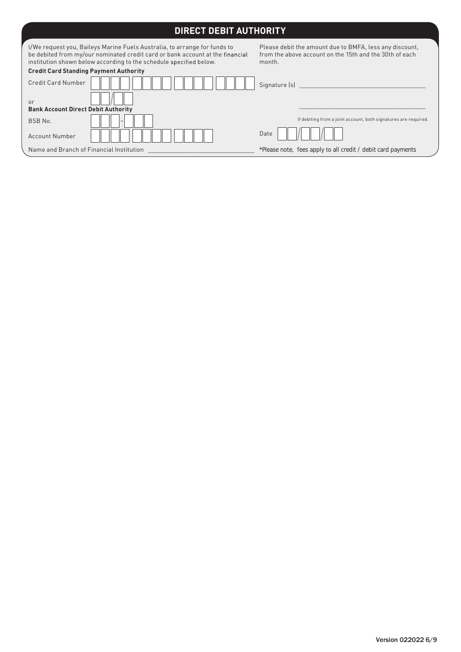# **DIRECT DEBIT AUTHORITY**

I/We request you, Baileys Marine Fuels Australia, to arrange for funds to be debited from my/our nominated credit card or bank account at the financial institution shown below according to the schedule specified below. **Credit Card Standing Payment Authority** Credit Card Number or **Bank Account Direct Debit Authority** BSB No. Account Number Name and Branch of Financial Institution Please debit the amount due to BMFA, less any discount, from the above account on the 15th and the 30th of each month. Signature (s)  $\_$  If debiting from a joint account, both signatures are required. Date \*Please note, fees apply to all credit / debit card payments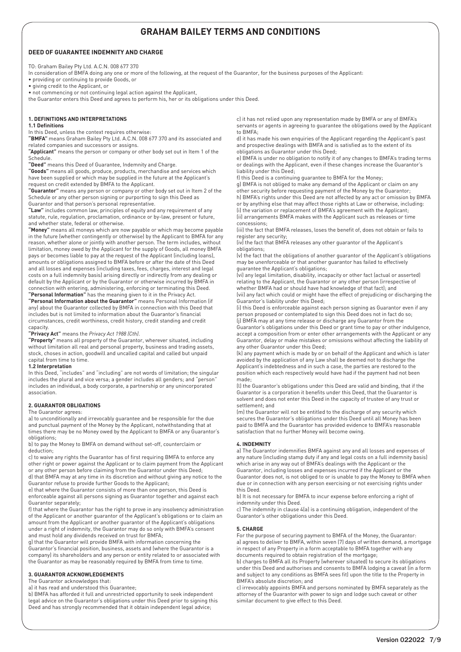## **DEED OF GUARANTEE INDEMNITY AND CHARGE**

TO: Graham Bailey Pty Ltd. A.C.N. 008 677 370

In consideration of BMFA doing any one or more of the following, at the request of the Guarantor, for the business purposes of the Applicant:

• providing or continuing to provide Goods, or

• giving credit to the Applicant, or • not commencing or not continuing legal action against the Applicant,

the Guarantor enters this Deed and agrees to perform his, her or its obligations under this Deed.

## **1. DEFINITIONS AND INTERPRETATIONS**

## **1.1 Definitions**

In this Deed, unless the context requires otherwise:

**"BMFA"** means Graham Bailey Pty Ltd. A.C.N. 008 677 370 and its associated and related companies and successors or assigns.

**"Applicant"** means the person or company or other body set out in Item 1 of the Schedule.

**"Deed"** means this Deed of Guarantee, Indemnity and Charge.

**"Goods"** means all goods, produce, products, merchandise and services which have been supplied or which may be supplied in the future at the Applicant's request on credit extended by BMFA to the Applicant.

**"Guarantor"** means any person or company or other body set out in Item 2 of the Schedule or any other person signing or purporting to sign this Deed as Guarantor and that person's personal representative.

**"Law"** includes common law, principles of equity and any requirement of any statute, rule, regulation, proclamation, ordinance or by-law, present or future, and whether state, federal or otherwise.

**"Money"** means all moneys which are now payable or which may become payable in the future (whether contingently or otherwise) by the Applicant to BMFA for any reason, whether alone or jointly with another person. The term includes, without limitation, money owed by the Applicant for the supply of Goods, all money BMFA pays or becomes liable to pay at the request of the Applicant (including loans), amounts or obligations assigned to BMFA before or after the date of this Deed and all losses and expenses (including taxes, fees, charges, interest and legal costs on a full indemnity basis) arising directly or indirectly from any dealing or default by the Applicant or by the Guarantor or otherwise incurred by BMFA in connection with entering, administering, enforcing or terminating this Deed.

**"Personal Information"** has the meaning given to it in the Privacy Act. **"Personal Information about the Guarantor"** means Personal Information (if

any) about the Guarantor collected by BMFA in connection with this Deed that includes but is not limited to information about the Guarantor's financial circumstances, credit worthiness, credit history, credit standing and credit capacity.

**"Privacy Act"** means the *Privacy Act 1988 (Cth)*.

**"Property"** means all property of the Guarantor, wherever situated, including without limitation all real and personal property, business and trading assets, stock, choses in action, goodwill and uncalled capital and called but unpaid capital from time to time.

### **1.2 Interpretation**

In this Deed, "includes" and "including" are not words of limitation; the singular includes the plural and vice versa; a gender includes all genders; and "person" includes an individual, a body corporate, a partnership or any unincorporated association.

### **2. GUARANTOR OBLIGATIONS**

### The Guarantor agrees:

a) to unconditionally and irrevocably guarantee and be responsible for the due and punctual payment of the Money by the Applicant, notwithstanding that at times there may be no Money owed by the Applicant to BMFA or any Guarantor's obligations;

b) to pay the Money to BMFA on demand without set-off, counterclaim or deduction;

c) to waive any rights the Guarantor has of first requiring BMFA to enforce any other right or power against the Applicant or to claim payment from the Applicant or any other person before claiming from the Guarantor under this Deed;

d) that BMFA may at any time in its discretion and without giving any notice to the Guarantor refuse to provide further Goods to the Applicant;

e) that where the Guarantor consists of more than one person, this Deed is enforceable against all persons signing as Guarantor together and against each Guarantor separately;

f) that where the Guarantor has the right to prove in any insolvency administration of the Applicant or another guarantor of the Applicant's obligations or to claim an amount from the Applicant or another guarantor of the Applicant's obligations under a right of indemnity, the Guarantor may do so only with BMFA's consent and must hold any dividends received on trust for BMFA;

g) that the Guarantor will provide BMFA with information concerning the Guarantor's financial position, business, assets and (where the Guarantor is a company) its shareholders and any person or entity related to or associated with the Guarantor as may be reasonably required by BMFA from time to time.

## **3. GUARANTOR ACKNOWLEDGEMENTS**

The Guarantor acknowledges that:

a) it has read and understood this Guarantee;

b) BMFA has afforded it full and unrestricted opportunity to seek independent legal advice on the Guarantor's obligations under this Deed prior to signing this Deed and has strongly recommended that it obtain independent legal advice;

c) it has not relied upon any representation made by BMFA or any of BMFA's servants or agents in agreeing to guarantee the obligations owed by the Applicant to BMFA;

d) it has made his own enquiries of the Applicant regarding the Applicant's past and prospective dealings with BMFA and is satisfied as to the extent of its obligations as Guarantor under this Deed;

e) BMFA is under no obligation to notify it of any changes to BMFA's trading terms or dealings with the Applicant, even if these changes increase the Guarantor's liability under this Deed;

f) this Deed is a continuing guarantee to BMFA for the Money;

g) BMFA is not obliged to make any demand of the Applicant or claim on any other security before requesting payment of the Money by the Guarantor; h) BMFA's rights under this Deed are not affected by any act or omission by BMFA or by anything else that may affect those rights at Law or otherwise, including: (i) the variation or replacement of BMFA's agreement with the Applicant; (ii) arrangements BMFA makes with the Applicant such as releases or time concessions;

(iii) the fact that BMFA releases, loses the benefit of, does not obtain or fails to register any security;

(iv) the fact that BMFA releases any other guarantor of the Applicant's obligations;

(v) the fact that the obligations of another guarantor of the Applicant's obligations may be unenforceable or that another guarantor has failed to effectively guarantee the Applicant's obligations;

(vi) any legal limitation, disability, incapacity or other fact (actual or asserted) relating to the Applicant, the Guarantor or any other person (irrespective of whether BMFA had or should have had knowledge of that fact); and (vii) any fact which could or might have the effect of prejudicing or discharging the

Guarantor's liability under this Deed; (i) this Deed is enforceable against each person signing as Guarantor even if any

person proposed or contemplated to sign this Deed does not in fact do so; (j) BMFA may at any time release or discharge any Guarantor from the

Guarantor's obligations under this Deed or grant time to pay or other indulgence, accept a composition from or enter other arrangements with the Applicant or any Guarantor, delay or make mistakes or omissions without affecting the liability of any other Guarantor under this Deed;

(k) any payment which is made by or on behalf of the Applicant and which is later avoided by the application of any Law shall be deemed not to discharge the Applicant's indebtedness and in such a case, the parties are restored to the position which each respectively would have had if the payment had not been made;

(l) the Guarantor's obligations under this Deed are valid and binding, that if the Guarantor is a corporation it benefits under this Deed, that the Guarantor is solvent and does not enter this Deed in the capacity of trustee of any trust or settlement; and

(m) the Guarantor will not be entitled to the discharge of any security which secures the Guarantor's obligations under this Deed until all Money has been paid to BMFA and the Guarantor has provided evidence to BMFA's reasonable satisfaction that no further Money will become owing.

### **4. INDEMNITY**

a) The Guarantor indemnifies BMFA against any and all losses and expenses of any nature (including stamp duty if any and legal costs on a full indemnity basis) which arise in any way out of BMFA's dealings with the Applicant or the Guarantor, including losses and expenses incurred if the Applicant or the Guarantor does not, is not obliged to or is unable to pay the Money to BMFA when due or in connection with any person exercising or not exercising rights under this Deed.

b) It is not necessary for BMFA to incur expense before enforcing a right of indemnity under this Deed.

c) The indemnity in clause 4(a) is a continuing obligation, independent of the Guarantor's other obligations under this Deed.

## **5. CHARGE**

For the purpose of securing payment to BMFA of the Money, the Guarantor: a) agrees to deliver to BMFA, within seven (7) days of written demand, a mortgage in respect of any Property in a form acceptable to BMFA together with any documents required to obtain registration of the mortgage;

b) charges to BMFA all its Property (wherever situated) to secure its obligations under this Deed and authorises and consents to BMFA lodging a caveat (in a form and subject to any conditions as BMFA sees fit) upon the title to the Property in BMFA's absolute discretion; and

c) irrevocably appoints BMFA and persons nominated by BMFA separately as the attorney of the Guarantor with power to sign and lodge such caveat or other similar document to give effect to this Deed.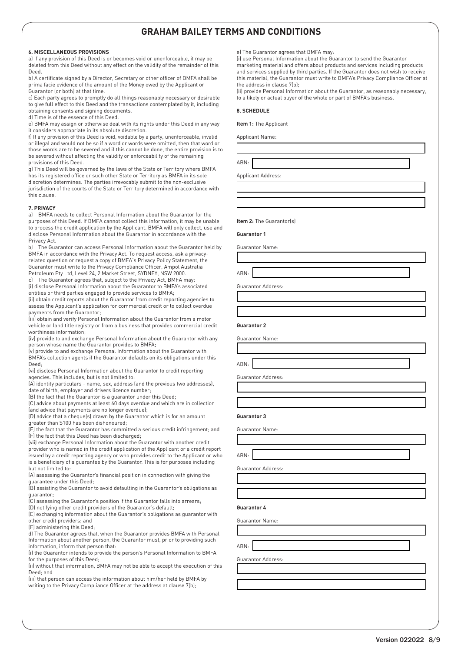## **6. MISCELLANEOUS PROVISIONS**

a) If any provision of this Deed is or becomes void or unenforceable, it may be deleted from this Deed without any effect on the validity of the remainder of this Deed.

b) A certificate signed by a Director, Secretary or other officer of BMFA shall be prima facie evidence of the amount of the Money owed by the Applicant or Guarantor (or both) at that time.

c) Each party agrees to promptly do all things reasonably necessary or desirable to give full effect to this Deed and the transactions contemplated by it, including obtaining consents and signing documents.

d) Time is of the essence of this Deed.

e) BMFA may assign or otherwise deal with its rights under this Deed in any way it considers appropriate in its absolute discretion.

f) If any provision of this Deed is void, voidable by a party, unenforceable, invalid or illegal and would not be so if a word or words were omitted, then that word or those words are to be severed and if this cannot be done, the entire provision is to be severed without affecting the validity or enforceability of the remaining provisions of this Deed.

g) This Deed will be governed by the laws of the State or Territory where BMFA has its registered office or such other State or Territory as BMFA in its sole discretion determines. The parties irrevocably submit to the non-exclusive jurisdiction of the courts of the State or Territory determined in accordance with this clause.

## **7. PRIVACY**

a) BMFA needs to collect Personal Information about the Guarantor for the purposes of this Deed. If BMFA cannot collect this information, it may be unable to process the credit application by the Applicant. BMFA will only collect, use and disclose Personal Information about the Guarantor in accordance with the Privacy Act.

b) The Guarantor can access Personal Information about the Guarantor held by BMFA in accordance with the Privacy Act. To request access, ask a privacyrelated question or request a copy of BMFA's Privacy Policy Statement, the Guarantor must write to the Privacy Compliance Officer, Ampol Australia Petroleum Pty Ltd, Level 24, 2 Market Street, SYDNEY, NSW 2000.

c) The Guarantor agrees that, subject to the Privacy Act, BMFA may: (i) disclose Personal Information about the Guarantor to BMFA's associated entities or third parties engaged to provide services to BMFA;

(ii) obtain credit reports about the Guarantor from credit reporting agencies to assess the Applicant's application for commercial credit or to collect overdue payments from the Guarantor;

(iii) obtain and verify Personal Information about the Guarantor from a motor vehicle or land title registry or from a business that provides commercial credit worthiness information;

(iv) provide to and exchange Personal Information about the Guarantor with any person whose name the Guarantor provides to BMFA;

(v) provide to and exchange Personal Information about the Guarantor with BMFA's collection agents if the Guarantor defaults on its obligations under this Deed;

(vi) disclose Personal Information about the Guarantor to credit reporting agencies. This includes, but is not limited to:

(A) identity particulars - name, sex, address (and the previous two addresses), date of birth, employer and drivers licence number;

(B) the fact that the Guarantor is a guarantor under this Deed;

(C) advice about payments at least 60 days overdue and which are in collection (and advice that payments are no longer overdue);

(D) advice that a cheque(s) drawn by the Guarantor which is for an amount greater than \$100 has been dishonoured;

(E) the fact that the Guarantor has committed a serious credit infringement; and (F) the fact that this Deed has been discharged;

(vii) exchange Personal Information about the Guarantor with another credit provider who is named in the credit application of the Applicant or a credit report issued by a credit reporting agency or who provides credit to the Applicant or who is a beneficiary of a guarantee by the Guarantor. This is for purposes including but not limited to:

(A) assessing the Guarantor's financial position in connection with giving the guarantee under this Deed;

(B) assisting the Guarantor to avoid defaulting in the Guarantor's obligations as guarantor;

(C) assessing the Guarantor's position if the Guarantor falls into arrears;

(D) notifying other credit providers of the Guarantor's default;

(E) exchanging information about the Guarantor's obligations as guarantor with other credit providers; and

(F) administering this Deed;

d) The Guarantor agrees that, when the Guarantor provides BMFA with Personal Information about another person, the Guarantor must, prior to providing such information, inform that person that:

(i) the Guarantor intends to provide the person's Personal Information to BMFA for the purposes of this Deed;

(ii) without that information, BMFA may not be able to accept the execution of this Deed; and

(iii) that person can access the information about him/her held by BMFA by writing to the Privacy Compliance Officer at the address at clause 7(b);

e) The Guarantor agrees that BMFA may:

(i) use Personal Information about the Guarantor to send the Guarantor marketing material and offers about products and services including products and services supplied by third parties. If the Guarantor does not wish to receive this material, the Guarantor must write to BMFA's Privacy Compliance Officer at the address in clause 7(b);

(ii) provide Personal Information about the Guarantor, as reasonably necessary, to a likely or actual buyer of the whole or part of BMFA's business.

## **8. SCHEDULE**

**Item 1:** The Applicant

Applicant Name:

ABN:

Applicant Address:

**Item 2:** The Guarantor(s)

**Guarantor 1**

Guarantor Name:

ABN:

Guarantor Address:

**Guarantor 2**

Guarantor Name:

ABN:

Guarantor Address:

## **Guarantor 3**

Guarantor Name:

ABN:

Guarantor Address:

## **Guarantor 4**

Guarantor Name:

ABN:

Guarantor Address: